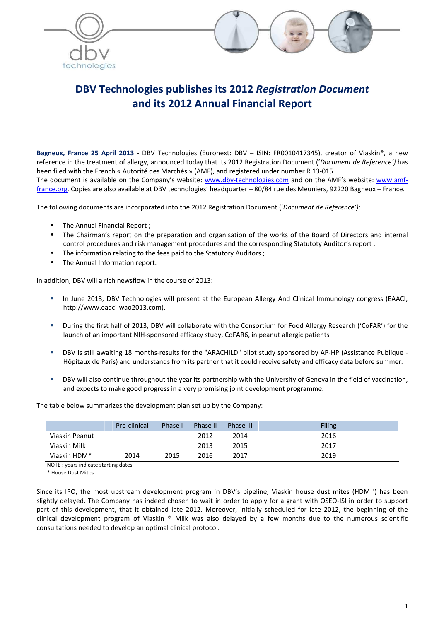



# **DBV Technologies publishes its 2012** *Registration Document* **and its 2012 Annual Financial Report**

**Bagneux, France 25 April 2013** - DBV Technologies (Euronext: DBV – ISIN: FR0010417345), creator of Viaskin®, a new reference in the treatment of allergy, announced today that its 2012 Registration Document ('*Document de Reference')* has been filed with the French « Autorité des Marchés » (AMF), and registered under number R.13-015. The document is available on the Company's website: www.dbv-technologies.com and on the AMF's website: www.amffrance.org. Copies are also available at DBV technologies' headquarter – 80/84 rue des Meuniers, 92220 Bagneux – France.

The following documents are incorporated into the 2012 Registration Document ('*Document de Reference')*:

- The Annual Financial Report;
- The Chairman's report on the preparation and organisation of the works of the Board of Directors and internal control procedures and risk management procedures and the corresponding Statutoty Auditor's report ;
- The information relating to the fees paid to the Statutory Auditors ;
- The Annual Information report.

In addition, DBV will a rich newsflow in the course of 2013:

- In June 2013, DBV Technologies will present at the European Allergy And Clinical Immunology congress (EAACI; http://www.eaaci-wao2013.com).
- During the first half of 2013, DBV will collaborate with the Consortium for Food Allergy Research ('CoFAR') for the launch of an important NIH-sponsored efficacy study, CoFAR6, in peanut allergic patients
- DBV is still awaiting 18 months-results for the "ARACHILD" pilot study sponsored by AP-HP (Assistance Publique Hôpitaux de Paris) and understands from its partner that it could receive safety and efficacy data before summer.
- DBV will also continue throughout the year its partnership with the University of Geneva in the field of vaccination, and expects to make good progress in a very promising joint development programme.

The table below summarizes the development plan set up by the Company:

|                | Pre-clinical | Phase I | Phase II | Phase III | <b>Filing</b> |
|----------------|--------------|---------|----------|-----------|---------------|
| Viaskin Peanut |              |         | 2012     | 2014      | 2016          |
| Viaskin Milk   |              |         | 2013     | 2015      | 2017          |
| Viaskin HDM*   | 2014         | 2015    | 2016     | 2017      | 2019          |

NOTE : years indicate starting dates

\* House Dust Mites

Since its IPO, the most upstream development program in DBV's pipeline, Viaskin house dust mites (HDM ') has been slightly delayed. The Company has indeed chosen to wait in order to apply for a grant with OSEO-ISI in order to support part of this development, that it obtained late 2012. Moreover, initially scheduled for late 2012, the beginning of the clinical development program of Viaskin ® Milk was also delayed by a few months due to the numerous scientific consultations needed to develop an optimal clinical protocol.